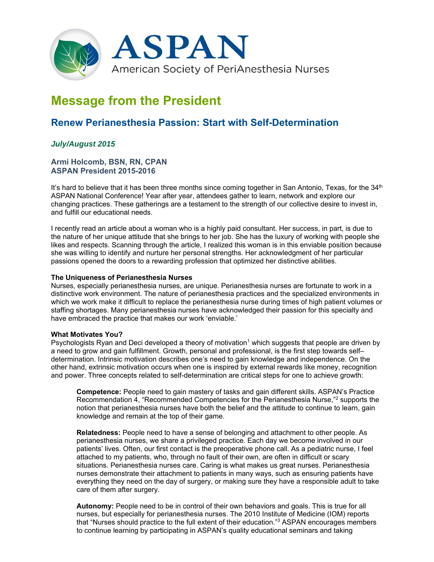

# **Message from the President**

## **Renew Perianesthesia Passion: Start with Self-Determination**

### *July/August 2015*

#### **Armi Holcomb, BSN, RN, CPAN ASPAN President 2015-2016**

It's hard to believe that it has been three months since coming together in San Antonio, Texas, for the  $34<sup>th</sup>$ ASPAN National Conference! Year after year, attendees gather to learn, network and explore our changing practices. These gatherings are a testament to the strength of our collective desire to invest in, and fulfill our educational needs.

I recently read an article about a woman who is a highly paid consultant. Her success, in part, is due to the nature of her unique attitude that she brings to her job. She has the luxury of working with people she likes and respects. Scanning through the article, I realized this woman is in this enviable position because she was willing to identify and nurture her personal strengths. Her acknowledgment of her particular passions opened the doors to a rewarding profession that optimized her distinctive abilities.

#### **The Uniqueness of Perianesthesia Nurses**

Nurses, especially perianesthesia nurses, are unique. Perianesthesia nurses are fortunate to work in a distinctive work environment. The nature of perianesthesia practices and the specialized environments in which we work make it difficult to replace the perianesthesia nurse during times of high patient volumes or staffing shortages. Many perianesthesia nurses have acknowledged their passion for this specialty and have embraced the practice that makes our work 'enviable.'

#### **What Motivates You?**

Psychologists Ryan and Deci developed a theory of motivation<sup>1</sup> which suggests that people are driven by a need to grow and gain fulfillment. Growth, personal and professional, is the first step towards self– determination. Intrinsic motivation describes one's need to gain knowledge and independence. On the other hand, extrinsic motivation occurs when one is inspired by external rewards like money, recognition and power. Three concepts related to self-determination are critical steps for one to achieve growth:

**Competence:** People need to gain mastery of tasks and gain different skills. ASPAN's Practice Recommendation 4, "Recommended Competencies for the Perianesthesia Nurse,"2 supports the notion that perianesthesia nurses have both the belief and the attitude to continue to learn, gain knowledge and remain at the top of their game.

**Relatedness:** People need to have a sense of belonging and attachment to other people. As perianesthesia nurses, we share a privileged practice. Each day we become involved in our patients' lives. Often, our first contact is the preoperative phone call. As a pediatric nurse, I feel attached to my patients, who, through no fault of their own, are often in difficult or scary situations. Perianesthesia nurses care. Caring is what makes us great nurses. Perianesthesia nurses demonstrate their attachment to patients in many ways, such as ensuring patients have everything they need on the day of surgery, or making sure they have a responsible adult to take care of them after surgery.

**Autonomy:** People need to be in control of their own behaviors and goals. This is true for all nurses, but especially for perianesthesia nurses. The 2010 Institute of Medicine (IOM) reports that "Nurses should practice to the full extent of their education."<sup>3</sup> ASPAN encourages members to continue learning by participating in ASPAN's quality educational seminars and taking